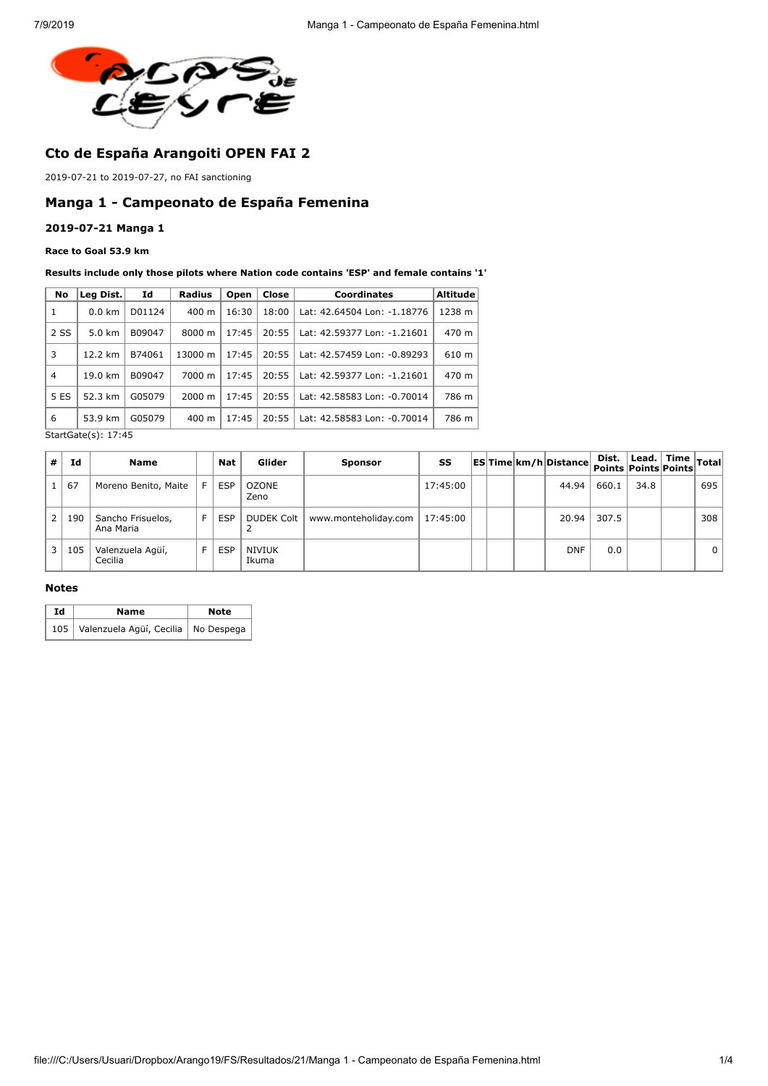

# **Cto de España Arangoiti OPEN FAI 2**

2019-07-21 to 2019-07-27, no FAI sanctioning

## **Manga 1 - Campeonato de España Femenina**

### **2019-07-21 Manga 1**

### **Race to Goal 53.9 km**

#### **Results include only those pilots where Nation code contains 'ESP' and female contains '1'**

| No             | Leg Dist.        | Id     | <b>Radius</b>      | Open  | Close | <b>Coordinates</b>          | <b>Altitude</b> |
|----------------|------------------|--------|--------------------|-------|-------|-----------------------------|-----------------|
| 1              | $0.0 \text{ km}$ | D01124 | $400 \text{ m}$    | 16:30 | 18:00 | Lat: 42.64504 Lon: -1.18776 | 1238 m          |
| 2 SS           | $5.0 \text{ km}$ | B09047 | 8000 m             | 17:45 | 20:55 | Lat: 42.59377 Lon: -1.21601 | 470 m           |
| 3              | 12.2 km          | B74061 | 13000 m            | 17:45 | 20:55 | Lat: 42.57459 Lon: -0.89293 | 610 m           |
| $\overline{4}$ | 19.0 km          | B09047 | 7000 m             | 17:45 | 20:55 | Lat: 42.59377 Lon: -1.21601 | 470 m           |
| 5 ES           | 52.3 km          | G05079 | $2000 \; \text{m}$ | 17:45 | 20:55 | Lat: 42.58583 Lon: -0.70014 | 786 m           |
| 6              | 53.9 km          | G05079 | $400 \text{ m}$    | 17:45 | 20:55 | Lat: 42.58583 Lon: -0.70014 | 786 m           |

StartGate(s): 17:45

| $^{\prime}$ #  | Ιd  | <b>Name</b>                    |   | Nat        | Glider               | <b>Sponsor</b>       | SS       |  | ES Time km/h Distance | Dist.<br>Points Points Points | $\sqrt{2}$   Lead.   Time $ _{\text{Total}}$ |          |
|----------------|-----|--------------------------------|---|------------|----------------------|----------------------|----------|--|-----------------------|-------------------------------|----------------------------------------------|----------|
|                | 67  | Moreno Benito, Maite           | E | <b>ESP</b> | <b>OZONE</b><br>Zeno |                      | 17:45:00 |  | 44.94                 | 660.1                         | 34.8                                         | 695      |
| 2 <sup>1</sup> | 190 | Sancho Frisuelos,<br>Ana Maria | F | <b>ESP</b> | <b>DUDEK Colt</b>    | www.monteholiday.com | 17:45:00 |  | 20.94                 | 307.5                         |                                              | 308      |
| 3 <sup>1</sup> | 105 | Valenzuela Agüí,<br>Cecilia    | F | <b>ESP</b> | NIVIUK<br>Ikuma      |                      |          |  | <b>DNF</b>            | 0.0                           |                                              | $\Omega$ |

## **Notes**

| Id | Name                                      | <b>Note</b> |  |  |
|----|-------------------------------------------|-------------|--|--|
|    | 105 Valenzuela Agüí, Cecilia   No Despega |             |  |  |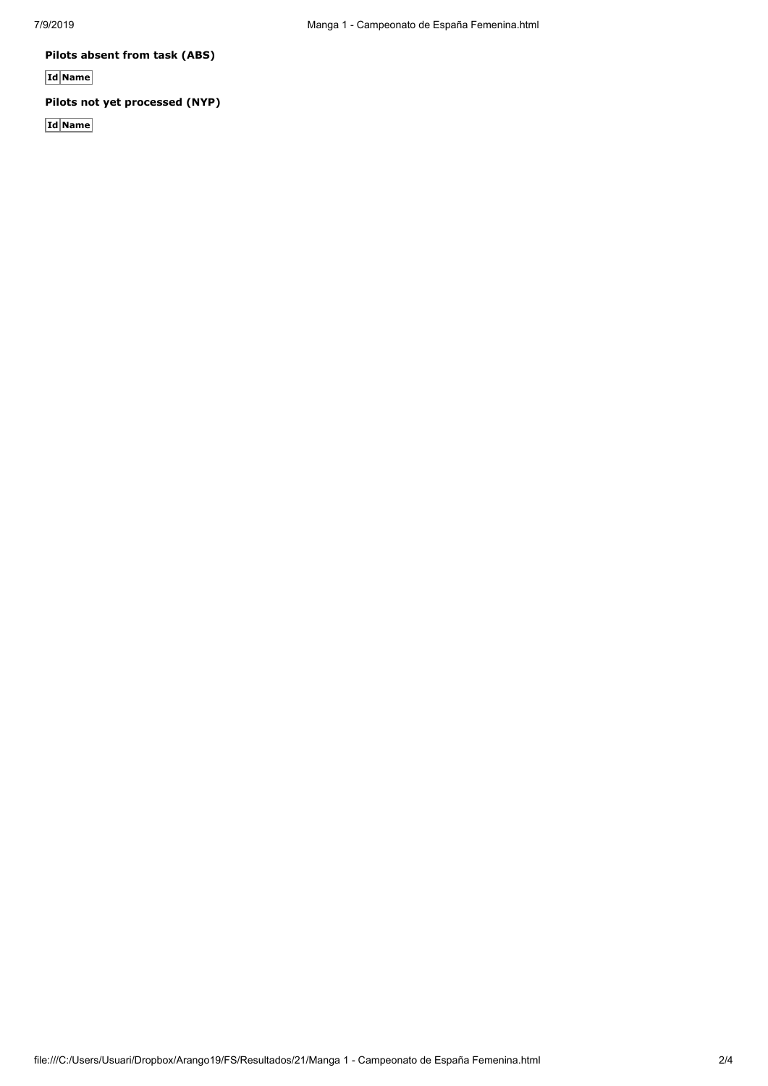**Pilots absent from task (ABS)**

**Id Name**

# **Pilots not yet processed (NYP)**

**Id Name**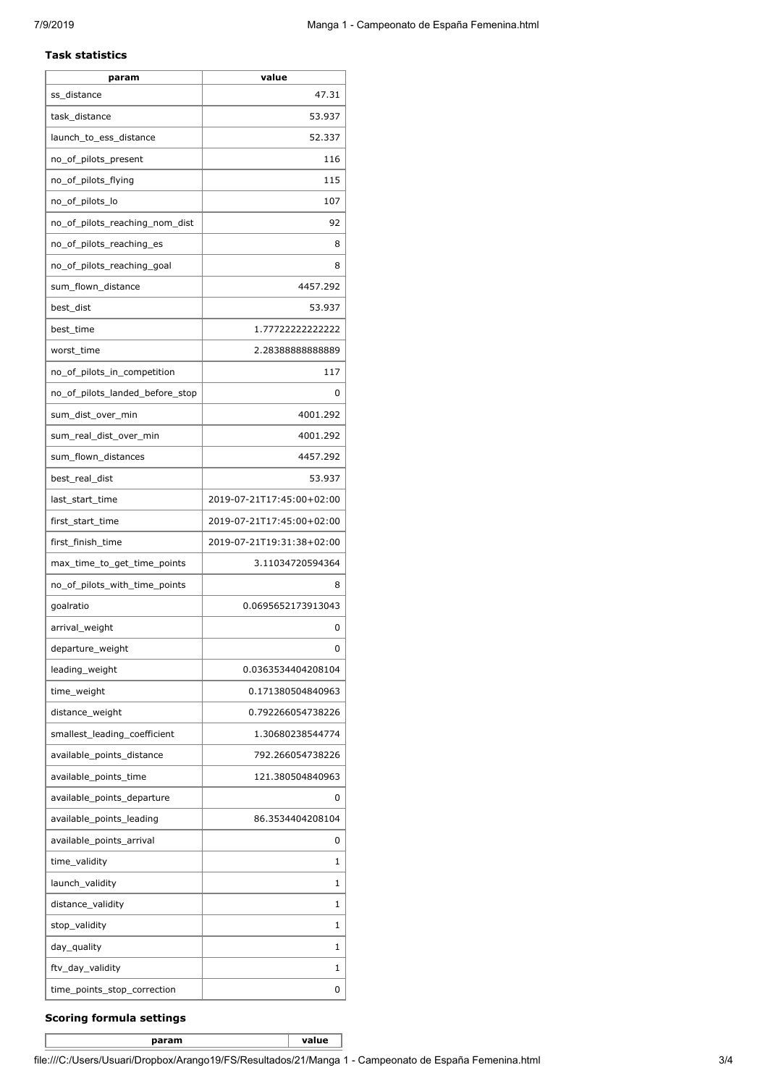#### **Task statistics**

| 47.31<br>ss distance<br>task_distance<br>53.937<br>launch_to_ess_distance<br>52.337<br>no_of_pilots_present<br>116<br>no_of_pilots_flying<br>115<br>no_of_pilots_lo<br>107 |
|----------------------------------------------------------------------------------------------------------------------------------------------------------------------------|
|                                                                                                                                                                            |
|                                                                                                                                                                            |
|                                                                                                                                                                            |
|                                                                                                                                                                            |
|                                                                                                                                                                            |
|                                                                                                                                                                            |
| no_of_pilots_reaching_nom_dist<br>92                                                                                                                                       |
| no_of_pilots_reaching_es<br>8                                                                                                                                              |
| no_of_pilots_reaching_goal<br>8                                                                                                                                            |
| sum_flown_distance<br>4457.292                                                                                                                                             |
| best_dist<br>53.937                                                                                                                                                        |
| best_time<br>1.77722222222222                                                                                                                                              |
| worst_time<br>2.2838888888889                                                                                                                                              |
| no_of_pilots_in_competition<br>117                                                                                                                                         |
| no of pilots landed before stop<br>0                                                                                                                                       |
| sum dist over min<br>4001.292                                                                                                                                              |
| sum_real_dist_over_min<br>4001.292                                                                                                                                         |
| sum_flown_distances<br>4457.292                                                                                                                                            |
| best_real_dist<br>53.937                                                                                                                                                   |
| 2019-07-21T17:45:00+02:00<br>last_start_time                                                                                                                               |
| first_start_time<br>2019-07-21T17:45:00+02:00                                                                                                                              |
| first_finish_time<br>2019-07-21T19:31:38+02:00                                                                                                                             |
| max_time_to_get_time_points<br>3.11034720594364                                                                                                                            |
| no_of_pilots_with_time_points<br>8                                                                                                                                         |
| 0.0695652173913043<br>qoalratio                                                                                                                                            |
| arrival_weight<br>0                                                                                                                                                        |
| departure_weight<br>0                                                                                                                                                      |
| leading_weight<br>0.0363534404208104                                                                                                                                       |
| time_weight<br>0.171380504840963                                                                                                                                           |
| distance_weight<br>0.792266054738226                                                                                                                                       |
| smallest leading coefficient<br>1.30680238544774                                                                                                                           |
| available_points_distance<br>792.266054738226                                                                                                                              |
| available_points_time<br>121.380504840963                                                                                                                                  |
| available_points_departure<br>0                                                                                                                                            |
| available_points_leading<br>86.3534404208104                                                                                                                               |
| available_points_arrival<br>0                                                                                                                                              |
| time_validity<br>1                                                                                                                                                         |
| launch_validity<br>1                                                                                                                                                       |
| distance_validity<br>1                                                                                                                                                     |
| 1<br>stop_validity                                                                                                                                                         |
| day_quality<br>1                                                                                                                                                           |
| ftv_day_validity<br>1                                                                                                                                                      |
| time_points_stop_correction<br>0                                                                                                                                           |

## **Scoring formula settings**

**param value**